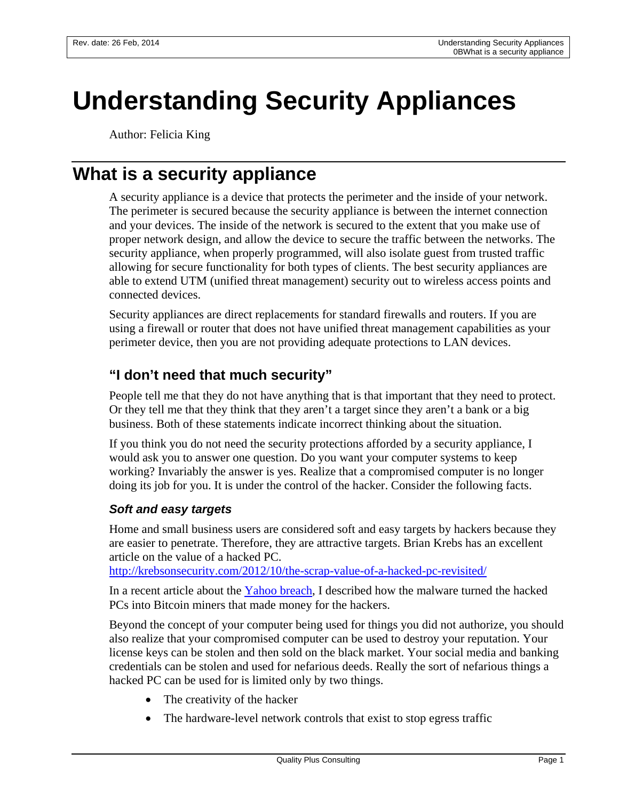# **Understanding Security Appliances**

Author: Felicia King

# **What is a security appliance**

A security appliance is a device that protects the perimeter and the inside of your network. The perimeter is secured because the security appliance is between the internet connection and your devices. The inside of the network is secured to the extent that you make use of proper network design, and allow the device to secure the traffic between the networks. The security appliance, when properly programmed, will also isolate guest from trusted traffic allowing for secure functionality for both types of clients. The best security appliances are able to extend UTM (unified threat management) security out to wireless access points and connected devices.

Security appliances are direct replacements for standard firewalls and routers. If you are using a firewall or router that does not have unified threat management capabilities as your perimeter device, then you are not providing adequate protections to LAN devices.

# **"I don't need that much security"**

People tell me that they do not have anything that is that important that they need to protect. Or they tell me that they think that they aren't a target since they aren't a bank or a big business. Both of these statements indicate incorrect thinking about the situation.

If you think you do not need the security protections afforded by a security appliance, I would ask you to answer one question. Do you want your computer systems to keep working? Invariably the answer is yes. Realize that a compromised computer is no longer doing its job for you. It is under the control of the hacker. Consider the following facts.

#### *Soft and easy targets*

Home and small business users are considered soft and easy targets by hackers because they are easier to penetrate. Therefore, they are attractive targets. Brian Krebs has an excellent article on the value of a hacked PC.

<http://krebsonsecurity.com/2012/10/the-scrap-value-of-a-hacked-pc-revisited/>

In a recent article about the [Yahoo breach,](http://www.qualityplusconsulting.com/index.php/resources/143-why-we-must-block-advertisements?highlight=WyJhZHZlcnRpc2VtZW50Il0=) I described how the malware turned the hacked PCs into Bitcoin miners that made money for the hackers.

Beyond the concept of your computer being used for things you did not authorize, you should also realize that your compromised computer can be used to destroy your reputation. Your license keys can be stolen and then sold on the black market. Your social media and banking credentials can be stolen and used for nefarious deeds. Really the sort of nefarious things a hacked PC can be used for is limited only by two things.

- The creativity of the hacker
- The hardware-level network controls that exist to stop egress traffic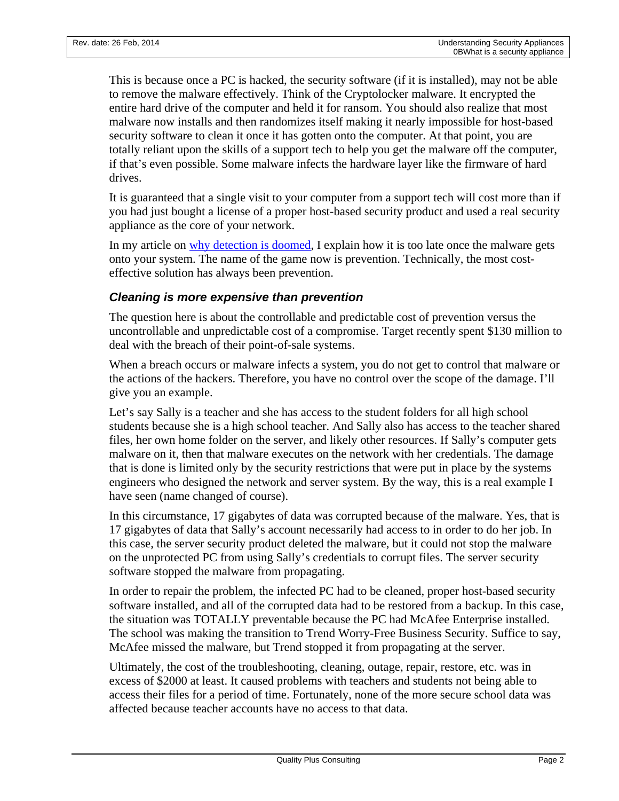This is because once a PC is hacked, the security software (if it is installed), may not be able to remove the malware effectively. Think of the Cryptolocker malware. It encrypted the entire hard drive of the computer and held it for ransom. You should also realize that most malware now installs and then randomizes itself making it nearly impossible for host-based security software to clean it once it has gotten onto the computer. At that point, you are totally reliant upon the skills of a support tech to help you get the malware off the computer, if that's even possible. Some malware infects the hardware layer like the firmware of hard drives.

It is guaranteed that a single visit to your computer from a support tech will cost more than if you had just bought a license of a proper host-based security product and used a real security appliance as the core of your network.

In my article on [why detection is doomed,](http://www.qualityplusconsulting.com/index.php/resources/124-why-is-detection-doomed) I explain how it is too late once the malware gets onto your system. The name of the game now is prevention. Technically, the most costeffective solution has always been prevention.

#### *Cleaning is more expensive than prevention*

The question here is about the controllable and predictable cost of prevention versus the uncontrollable and unpredictable cost of a compromise. Target recently spent \$130 million to deal with the breach of their point-of-sale systems.

When a breach occurs or malware infects a system, you do not get to control that malware or the actions of the hackers. Therefore, you have no control over the scope of the damage. I'll give you an example.

Let's say Sally is a teacher and she has access to the student folders for all high school students because she is a high school teacher. And Sally also has access to the teacher shared files, her own home folder on the server, and likely other resources. If Sally's computer gets malware on it, then that malware executes on the network with her credentials. The damage that is done is limited only by the security restrictions that were put in place by the systems engineers who designed the network and server system. By the way, this is a real example I have seen (name changed of course).

In this circumstance, 17 gigabytes of data was corrupted because of the malware. Yes, that is 17 gigabytes of data that Sally's account necessarily had access to in order to do her job. In this case, the server security product deleted the malware, but it could not stop the malware on the unprotected PC from using Sally's credentials to corrupt files. The server security software stopped the malware from propagating.

In order to repair the problem, the infected PC had to be cleaned, proper host-based security software installed, and all of the corrupted data had to be restored from a backup. In this case, the situation was TOTALLY preventable because the PC had McAfee Enterprise installed. The school was making the transition to Trend Worry-Free Business Security. Suffice to say, McAfee missed the malware, but Trend stopped it from propagating at the server.

Ultimately, the cost of the troubleshooting, cleaning, outage, repair, restore, etc. was in excess of \$2000 at least. It caused problems with teachers and students not being able to access their files for a period of time. Fortunately, none of the more secure school data was affected because teacher accounts have no access to that data.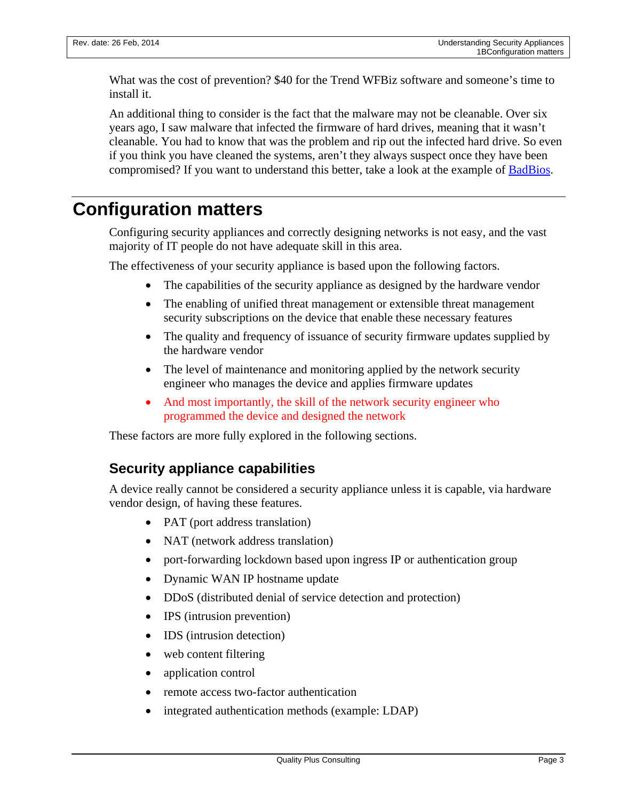What was the cost of prevention? \$40 for the Trend WFBiz software and someone's time to install it.

An additional thing to consider is the fact that the malware may not be cleanable. Over six years ago, I saw malware that infected the firmware of hard drives, meaning that it wasn't cleanable. You had to know that was the problem and rip out the infected hard drive. So even if you think you have cleaned the systems, aren't they always suspect once they have been compromised? If you want to understand this better, take a look at the example of [BadBios.](http://arstechnica.com/security/2013/10/meet-badbios-the-mysterious-mac-and-pc-malware-that-jumps-airgaps/)

# **Configuration matters**

Configuring security appliances and correctly designing networks is not easy, and the vast majority of IT people do not have adequate skill in this area.

The effectiveness of your security appliance is based upon the following factors.

- The capabilities of the security appliance as designed by the hardware vendor
- The enabling of unified threat management or extensible threat management security subscriptions on the device that enable these necessary features
- The quality and frequency of issuance of security firmware updates supplied by the hardware vendor
- The level of maintenance and monitoring applied by the network security engineer who manages the device and applies firmware updates
- And most importantly, the skill of the network security engineer who programmed the device and designed the network

<span id="page-2-0"></span>These factors are more fully explored in the following sections.

#### **Security appliance capabilities**

A device really cannot be considered a security appliance unless it is capable, via hardware vendor design, of having these features.

- PAT (port address translation)
- NAT (network address translation)
- port-forwarding lockdown based upon ingress IP or authentication group
- Dynamic WAN IP hostname update
- DDoS (distributed denial of service detection and protection)
- IPS (intrusion prevention)
- **IDS** (intrusion detection)
- web content filtering
- application control
- remote access two-factor authentication
- integrated authentication methods (example: LDAP)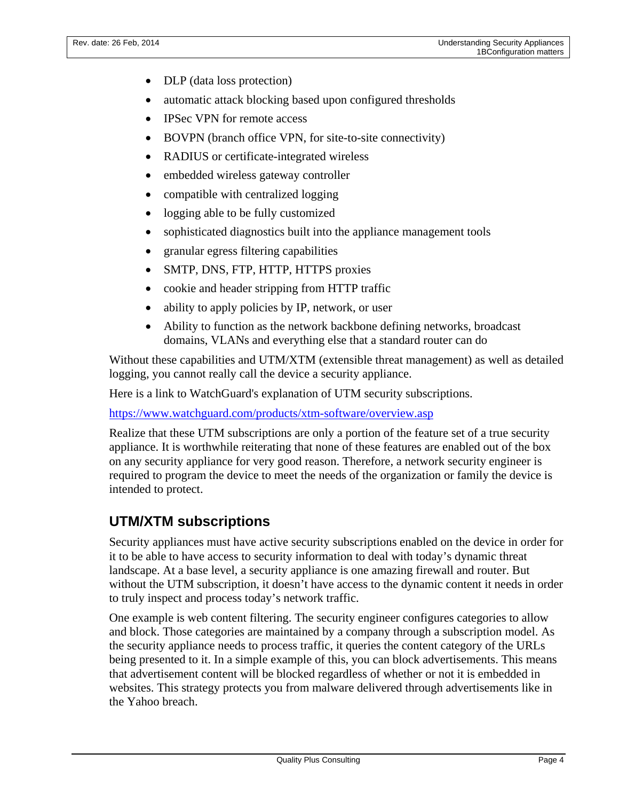- DLP (data loss protection)
- automatic attack blocking based upon configured thresholds
- IPSec VPN for remote access
- BOVPN (branch office VPN, for site-to-site connectivity)
- RADIUS or certificate-integrated wireless
- embedded wireless gateway controller
- compatible with centralized logging
- logging able to be fully customized
- sophisticated diagnostics built into the appliance management tools
- granular egress filtering capabilities
- SMTP, DNS, FTP, HTTP, HTTPS proxies
- cookie and header stripping from HTTP traffic
- ability to apply policies by IP, network, or user
- Ability to function as the network backbone defining networks, broadcast domains, VLANs and everything else that a standard router can do

Without these capabilities and UTM/XTM (extensible threat management) as well as detailed logging, you cannot really call the device a security appliance.

Here is a link to WatchGuard's explanation of UTM security subscriptions.

<https://www.watchguard.com/products/xtm-software/overview.asp>

Realize that these UTM subscriptions are only a portion of the feature set of a true security appliance. It is worthwhile reiterating that none of these features are enabled out of the box on any security appliance for very good reason. Therefore, a network security engineer is required to program the device to meet the needs of the organization or family the device is intended to protect.

#### **UTM/XTM subscriptions**

Security appliances must have active security subscriptions enabled on the device in order for it to be able to have access to security information to deal with today's dynamic threat landscape. At a base level, a security appliance is one amazing firewall and router. But without the UTM subscription, it doesn't have access to the dynamic content it needs in order to truly inspect and process today's network traffic.

One example is web content filtering. The security engineer configures categories to allow and block. Those categories are maintained by a company through a subscription model. As the security appliance needs to process traffic, it queries the content category of the URLs being presented to it. In a simple example of this, you can block advertisements. This means that advertisement content will be blocked regardless of whether or not it is embedded in websites. This strategy protects you from malware delivered through advertisements like in the Yahoo breach.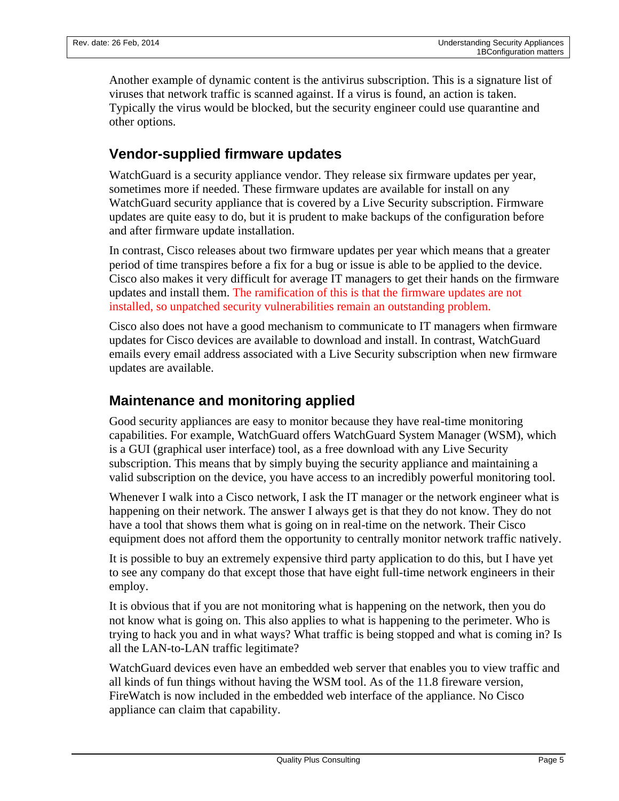Another example of dynamic content is the antivirus subscription. This is a signature list of viruses that network traffic is scanned against. If a virus is found, an action is taken. Typically the virus would be blocked, but the security engineer could use quarantine and other options.

## **Vendor-supplied firmware updates**

WatchGuard is a security appliance vendor. They release six firmware updates per year, sometimes more if needed. These firmware updates are available for install on any WatchGuard security appliance that is covered by a Live Security subscription. Firmware updates are quite easy to do, but it is prudent to make backups of the configuration before and after firmware update installation.

In contrast, Cisco releases about two firmware updates per year which means that a greater period of time transpires before a fix for a bug or issue is able to be applied to the device. Cisco also makes it very difficult for average IT managers to get their hands on the firmware updates and install them. The ramification of this is that the firmware updates are not installed, so unpatched security vulnerabilities remain an outstanding problem.

Cisco also does not have a good mechanism to communicate to IT managers when firmware updates for Cisco devices are available to download and install. In contrast, WatchGuard emails every email address associated with a Live Security subscription when new firmware updates are available.

## **Maintenance and monitoring applied**

Good security appliances are easy to monitor because they have real-time monitoring capabilities. For example, WatchGuard offers WatchGuard System Manager (WSM), which is a GUI (graphical user interface) tool, as a free download with any Live Security subscription. This means that by simply buying the security appliance and maintaining a valid subscription on the device, you have access to an incredibly powerful monitoring tool.

Whenever I walk into a Cisco network, I ask the IT manager or the network engineer what is happening on their network. The answer I always get is that they do not know. They do not have a tool that shows them what is going on in real-time on the network. Their Cisco equipment does not afford them the opportunity to centrally monitor network traffic natively.

It is possible to buy an extremely expensive third party application to do this, but I have yet to see any company do that except those that have eight full-time network engineers in their employ.

It is obvious that if you are not monitoring what is happening on the network, then you do not know what is going on. This also applies to what is happening to the perimeter. Who is trying to hack you and in what ways? What traffic is being stopped and what is coming in? Is all the LAN-to-LAN traffic legitimate?

WatchGuard devices even have an embedded web server that enables you to view traffic and all kinds of fun things without having the WSM tool. As of the 11.8 fireware version, FireWatch is now included in the embedded web interface of the appliance. No Cisco appliance can claim that capability.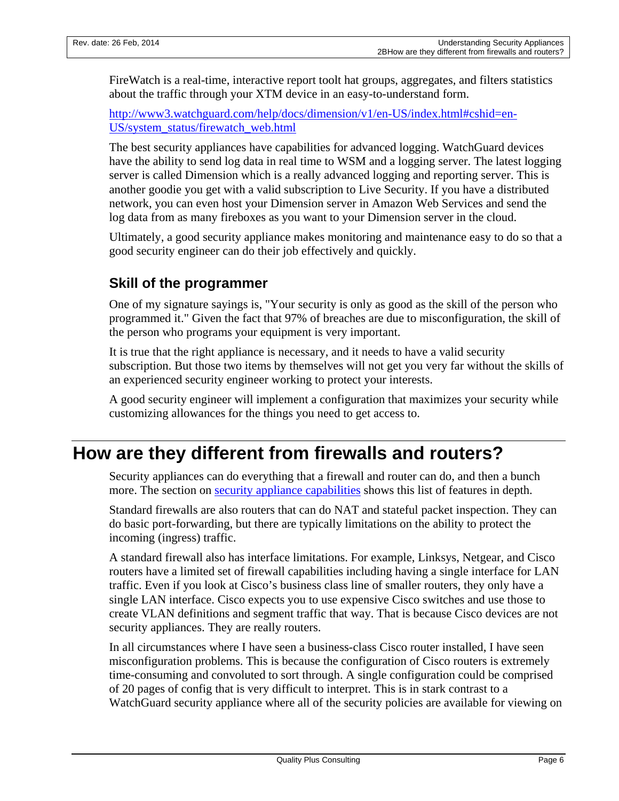FireWatch is a real-time, interactive report toolt hat groups, aggregates, and filters statistics about the traffic through your XTM device in an easy-to-understand form.

[http://www3.watchguard.com/help/docs/dimension/v1/en-US/index.html#cshid=en-](http://www3.watchguard.com/help/docs/dimension/v1/en-US/index.html%23cshid=en-US/system_status/firewatch_web.html)[US/system\\_status/firewatch\\_web.html](http://www3.watchguard.com/help/docs/dimension/v1/en-US/index.html%23cshid=en-US/system_status/firewatch_web.html)

The best security appliances have capabilities for advanced logging. WatchGuard devices have the ability to send log data in real time to WSM and a logging server. The latest logging server is called Dimension which is a really advanced logging and reporting server. This is another goodie you get with a valid subscription to Live Security. If you have a distributed network, you can even host your Dimension server in Amazon Web Services and send the log data from as many fireboxes as you want to your Dimension server in the cloud.

Ultimately, a good security appliance makes monitoring and maintenance easy to do so that a good security engineer can do their job effectively and quickly.

## **Skill of the programmer**

One of my signature sayings is, "Your security is only as good as the skill of the person who programmed it." Given the fact that 97% of breaches are due to misconfiguration, the skill of the person who programs your equipment is very important.

It is true that the right appliance is necessary, and it needs to have a valid security subscription. But those two items by themselves will not get you very far without the skills of an experienced security engineer working to protect your interests.

A good security engineer will implement a configuration that maximizes your security while customizing allowances for the things you need to get access to.

# **How are they different from firewalls and routers?**

Security appliances can do everything that a firewall and router can do, and then a bunch more. The section on [security appliance capabilities](#page-2-0) shows this list of features in depth.

Standard firewalls are also routers that can do NAT and stateful packet inspection. They can do basic port-forwarding, but there are typically limitations on the ability to protect the incoming (ingress) traffic.

A standard firewall also has interface limitations. For example, Linksys, Netgear, and Cisco routers have a limited set of firewall capabilities including having a single interface for LAN traffic. Even if you look at Cisco's business class line of smaller routers, they only have a single LAN interface. Cisco expects you to use expensive Cisco switches and use those to create VLAN definitions and segment traffic that way. That is because Cisco devices are not security appliances. They are really routers.

In all circumstances where I have seen a business-class Cisco router installed, I have seen misconfiguration problems. This is because the configuration of Cisco routers is extremely time-consuming and convoluted to sort through. A single configuration could be comprised of 20 pages of config that is very difficult to interpret. This is in stark contrast to a WatchGuard security appliance where all of the security policies are available for viewing on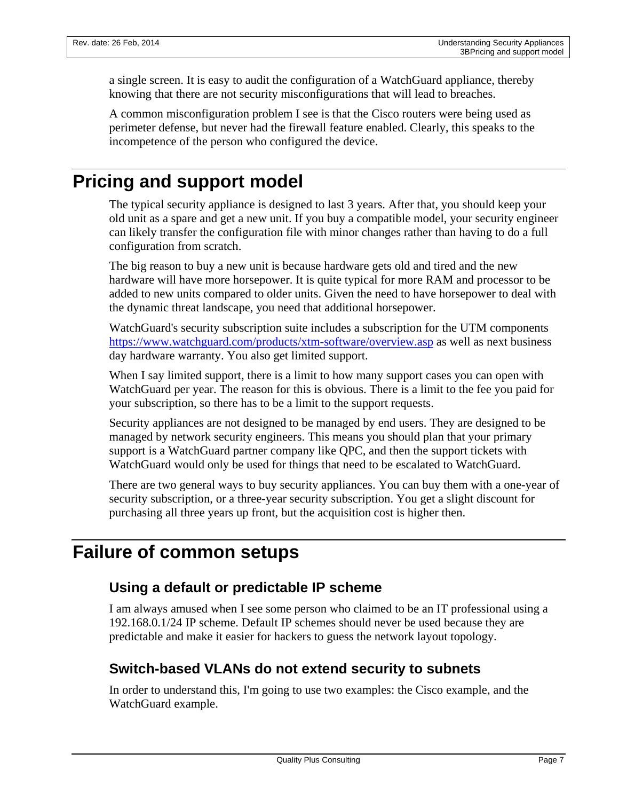a single screen. It is easy to audit the configuration of a WatchGuard appliance, thereby knowing that there are not security misconfigurations that will lead to breaches.

A common misconfiguration problem I see is that the Cisco routers were being used as perimeter defense, but never had the firewall feature enabled. Clearly, this speaks to the incompetence of the person who configured the device.

# **Pricing and support model**

The typical security appliance is designed to last 3 years. After that, you should keep your old unit as a spare and get a new unit. If you buy a compatible model, your security engineer can likely transfer the configuration file with minor changes rather than having to do a full configuration from scratch.

The big reason to buy a new unit is because hardware gets old and tired and the new hardware will have more horsepower. It is quite typical for more RAM and processor to be added to new units compared to older units. Given the need to have horsepower to deal with the dynamic threat landscape, you need that additional horsepower.

WatchGuard's security subscription suite includes a subscription for the UTM components <https://www.watchguard.com/products/xtm-software/overview.asp> as well as next business day hardware warranty. You also get limited support.

When I say limited support, there is a limit to how many support cases you can open with WatchGuard per year. The reason for this is obvious. There is a limit to the fee you paid for your subscription, so there has to be a limit to the support requests.

Security appliances are not designed to be managed by end users. They are designed to be managed by network security engineers. This means you should plan that your primary support is a WatchGuard partner company like QPC, and then the support tickets with WatchGuard would only be used for things that need to be escalated to WatchGuard.

There are two general ways to buy security appliances. You can buy them with a one-year of security subscription, or a three-year security subscription. You get a slight discount for purchasing all three years up front, but the acquisition cost is higher then.

# <span id="page-6-0"></span>**Failure of common setups**

# **Using a default or predictable IP scheme**

I am always amused when I see some person who claimed to be an IT professional using a 192.168.0.1/24 IP scheme. Default IP schemes should never be used because they are predictable and make it easier for hackers to guess the network layout topology.

# **Switch-based VLANs do not extend security to subnets**

In order to understand this, I'm going to use two examples: the Cisco example, and the WatchGuard example.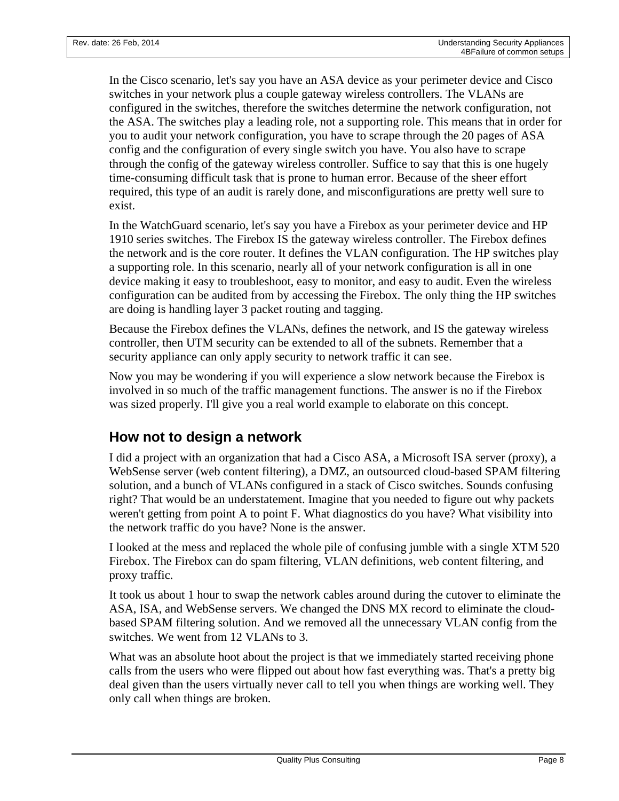In the Cisco scenario, let's say you have an ASA device as your perimeter device and Cisco switches in your network plus a couple gateway wireless controllers. The VLANs are configured in the switches, therefore the switches determine the network configuration, not the ASA. The switches play a leading role, not a supporting role. This means that in order for you to audit your network configuration, you have to scrape through the 20 pages of ASA config and the configuration of every single switch you have. You also have to scrape through the config of the gateway wireless controller. Suffice to say that this is one hugely time-consuming difficult task that is prone to human error. Because of the sheer effort required, this type of an audit is rarely done, and misconfigurations are pretty well sure to exist.

In the WatchGuard scenario, let's say you have a Firebox as your perimeter device and HP 1910 series switches. The Firebox IS the gateway wireless controller. The Firebox defines the network and is the core router. It defines the VLAN configuration. The HP switches play a supporting role. In this scenario, nearly all of your network configuration is all in one device making it easy to troubleshoot, easy to monitor, and easy to audit. Even the wireless configuration can be audited from by accessing the Firebox. The only thing the HP switches are doing is handling layer 3 packet routing and tagging.

Because the Firebox defines the VLANs, defines the network, and IS the gateway wireless controller, then UTM security can be extended to all of the subnets. Remember that a security appliance can only apply security to network traffic it can see.

Now you may be wondering if you will experience a slow network because the Firebox is involved in so much of the traffic management functions. The answer is no if the Firebox was sized properly. I'll give you a real world example to elaborate on this concept.

#### **How not to design a network**

I did a project with an organization that had a Cisco ASA, a Microsoft ISA server (proxy), a WebSense server (web content filtering), a DMZ, an outsourced cloud-based SPAM filtering solution, and a bunch of VLANs configured in a stack of Cisco switches. Sounds confusing right? That would be an understatement. Imagine that you needed to figure out why packets weren't getting from point A to point F. What diagnostics do you have? What visibility into the network traffic do you have? None is the answer.

I looked at the mess and replaced the whole pile of confusing jumble with a single XTM 520 Firebox. The Firebox can do spam filtering, VLAN definitions, web content filtering, and proxy traffic.

It took us about 1 hour to swap the network cables around during the cutover to eliminate the ASA, ISA, and WebSense servers. We changed the DNS MX record to eliminate the cloudbased SPAM filtering solution. And we removed all the unnecessary VLAN config from the switches. We went from 12 VLANs to 3.

What was an absolute hoot about the project is that we immediately started receiving phone calls from the users who were flipped out about how fast everything was. That's a pretty big deal given than the users virtually never call to tell you when things are working well. They only call when things are broken.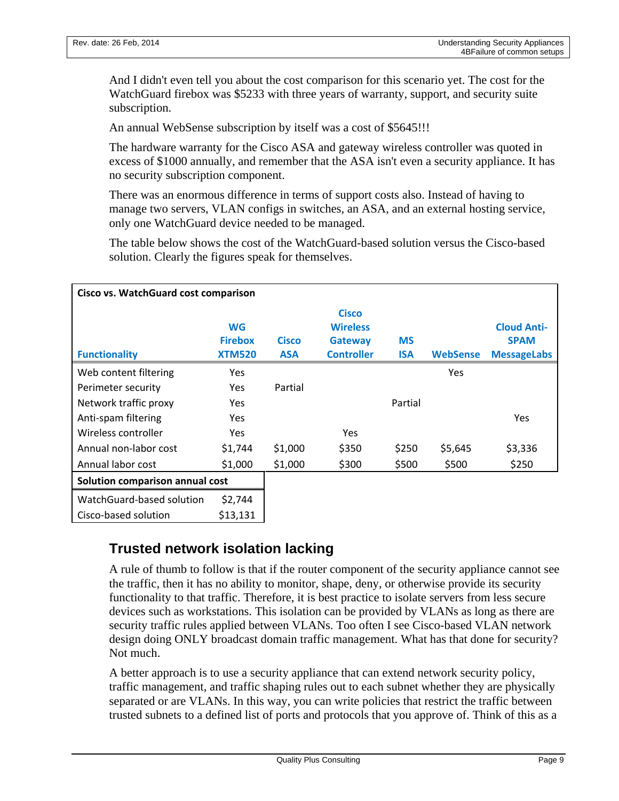And I didn't even tell you about the cost comparison for this scenario yet. The cost for the WatchGuard firebox was \$5233 with three years of warranty, support, and security suite subscription.

An annual WebSense subscription by itself was a cost of \$5645!!!

The hardware warranty for the Cisco ASA and gateway wireless controller was quoted in excess of \$1000 annually, and remember that the ASA isn't even a security appliance. It has no security subscription component.

There was an enormous difference in terms of support costs also. Instead of having to manage two servers, VLAN configs in switches, an ASA, and an external hosting service, only one WatchGuard device needed to be managed.

The table below shows the cost of the WatchGuard-based solution versus the Cisco-based solution. Clearly the figures speak for themselves.

| Cisco vs. WatchGuard cost comparison |                                              |                            |                                                                        |                         |                 |                                                         |
|--------------------------------------|----------------------------------------------|----------------------------|------------------------------------------------------------------------|-------------------------|-----------------|---------------------------------------------------------|
| <b>Functionality</b>                 | <b>WG</b><br><b>Firebox</b><br><b>XTM520</b> | <b>Cisco</b><br><b>ASA</b> | <b>Cisco</b><br><b>Wireless</b><br><b>Gateway</b><br><b>Controller</b> | <b>MS</b><br><b>ISA</b> | <b>WebSense</b> | <b>Cloud Anti-</b><br><b>SPAM</b><br><b>MessageLabs</b> |
| Web content filtering                | Yes                                          |                            |                                                                        |                         | Yes.            |                                                         |
| Perimeter security                   | <b>Yes</b>                                   | Partial                    |                                                                        |                         |                 |                                                         |
| Network traffic proxy                | <b>Yes</b>                                   |                            |                                                                        | Partial                 |                 |                                                         |
| Anti-spam filtering                  | <b>Yes</b>                                   |                            |                                                                        |                         |                 | Yes                                                     |
| Wireless controller                  | <b>Yes</b>                                   |                            | <b>Yes</b>                                                             |                         |                 |                                                         |
| Annual non-labor cost                | \$1,744                                      | \$1,000                    | \$350                                                                  | \$250                   | \$5,645         | \$3,336                                                 |
| Annual labor cost                    | \$1,000                                      | \$1,000                    | \$300                                                                  | \$500                   | \$500           | \$250                                                   |
| Solution comparison annual cost      |                                              |                            |                                                                        |                         |                 |                                                         |
| WatchGuard-based solution            | \$2,744                                      |                            |                                                                        |                         |                 |                                                         |
| Cisco-based solution                 | \$13,131                                     |                            |                                                                        |                         |                 |                                                         |

# **Trusted network isolation lacking**

A rule of thumb to follow is that if the router component of the security appliance cannot see the traffic, then it has no ability to monitor, shape, deny, or otherwise provide its security functionality to that traffic. Therefore, it is best practice to isolate servers from less secure devices such as workstations. This isolation can be provided by VLANs as long as there are security traffic rules applied between VLANs. Too often I see Cisco-based VLAN network design doing ONLY broadcast domain traffic management. What has that done for security? Not much.

A better approach is to use a security appliance that can extend network security policy, traffic management, and traffic shaping rules out to each subnet whether they are physically separated or are VLANs. In this way, you can write policies that restrict the traffic between trusted subnets to a defined list of ports and protocols that you approve of. Think of this as a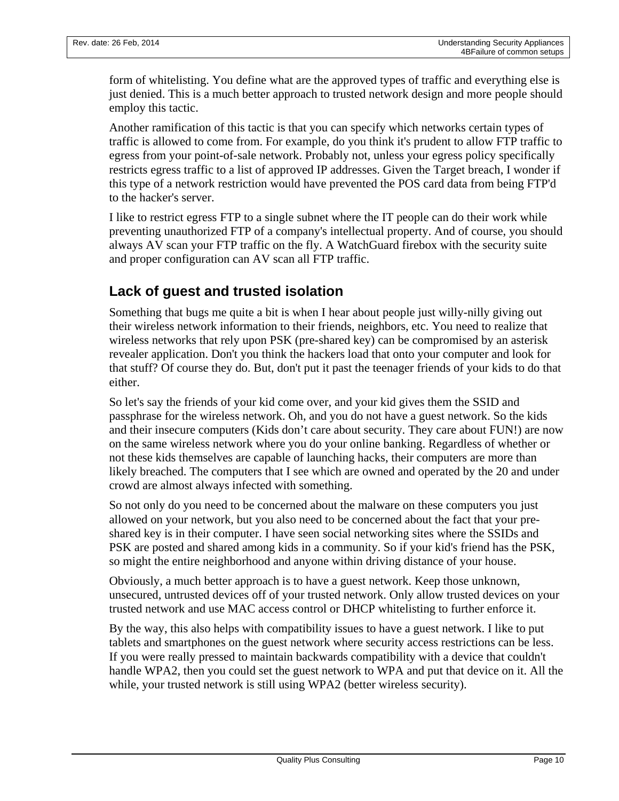form of whitelisting. You define what are the approved types of traffic and everything else is just denied. This is a much better approach to trusted network design and more people should employ this tactic.

Another ramification of this tactic is that you can specify which networks certain types of traffic is allowed to come from. For example, do you think it's prudent to allow FTP traffic to egress from your point-of-sale network. Probably not, unless your egress policy specifically restricts egress traffic to a list of approved IP addresses. Given the Target breach, I wonder if this type of a network restriction would have prevented the POS card data from being FTP'd to the hacker's server.

I like to restrict egress FTP to a single subnet where the IT people can do their work while preventing unauthorized FTP of a company's intellectual property. And of course, you should always AV scan your FTP traffic on the fly. A WatchGuard firebox with the security suite and proper configuration can AV scan all FTP traffic.

## **Lack of guest and trusted isolation**

Something that bugs me quite a bit is when I hear about people just willy-nilly giving out their wireless network information to their friends, neighbors, etc. You need to realize that wireless networks that rely upon PSK (pre-shared key) can be compromised by an asterisk revealer application. Don't you think the hackers load that onto your computer and look for that stuff? Of course they do. But, don't put it past the teenager friends of your kids to do that either.

So let's say the friends of your kid come over, and your kid gives them the SSID and passphrase for the wireless network. Oh, and you do not have a guest network. So the kids and their insecure computers (Kids don't care about security. They care about FUN!) are now on the same wireless network where you do your online banking. Regardless of whether or not these kids themselves are capable of launching hacks, their computers are more than likely breached. The computers that I see which are owned and operated by the 20 and under crowd are almost always infected with something.

So not only do you need to be concerned about the malware on these computers you just allowed on your network, but you also need to be concerned about the fact that your preshared key is in their computer. I have seen social networking sites where the SSIDs and PSK are posted and shared among kids in a community. So if your kid's friend has the PSK, so might the entire neighborhood and anyone within driving distance of your house.

Obviously, a much better approach is to have a guest network. Keep those unknown, unsecured, untrusted devices off of your trusted network. Only allow trusted devices on your trusted network and use MAC access control or DHCP whitelisting to further enforce it.

By the way, this also helps with compatibility issues to have a guest network. I like to put tablets and smartphones on the guest network where security access restrictions can be less. If you were really pressed to maintain backwards compatibility with a device that couldn't handle WPA2, then you could set the guest network to WPA and put that device on it. All the while, your trusted network is still using WPA2 (better wireless security).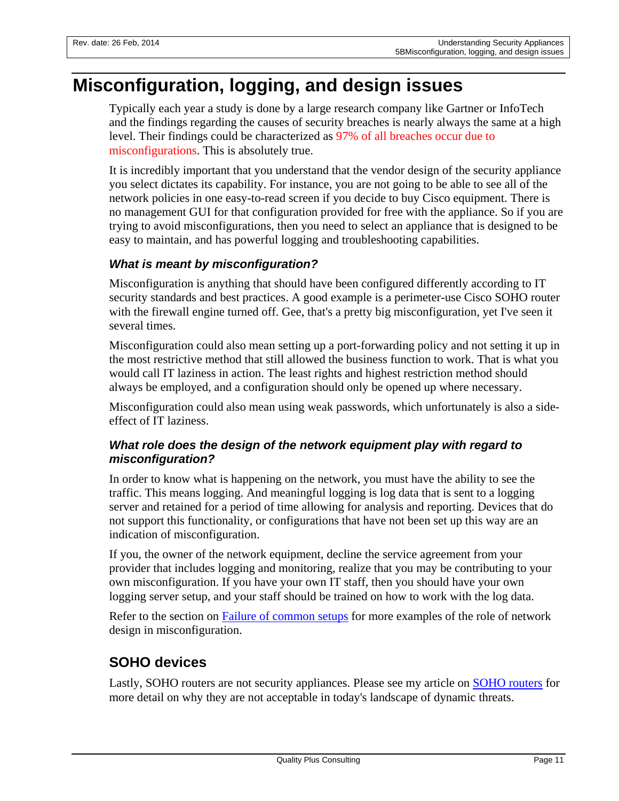# **Misconfiguration, logging, and design issues**

Typically each year a study is done by a large research company like Gartner or InfoTech and the findings regarding the causes of security breaches is nearly always the same at a high level. Their findings could be characterized as 97% of all breaches occur due to misconfigurations. This is absolutely true.

It is incredibly important that you understand that the vendor design of the security appliance you select dictates its capability. For instance, you are not going to be able to see all of the network policies in one easy-to-read screen if you decide to buy Cisco equipment. There is no management GUI for that configuration provided for free with the appliance. So if you are trying to avoid misconfigurations, then you need to select an appliance that is designed to be easy to maintain, and has powerful logging and troubleshooting capabilities.

#### *What is meant by misconfiguration?*

Misconfiguration is anything that should have been configured differently according to IT security standards and best practices. A good example is a perimeter-use Cisco SOHO router with the firewall engine turned off. Gee, that's a pretty big misconfiguration, yet I've seen it several times.

Misconfiguration could also mean setting up a port-forwarding policy and not setting it up in the most restrictive method that still allowed the business function to work. That is what you would call IT laziness in action. The least rights and highest restriction method should always be employed, and a configuration should only be opened up where necessary.

Misconfiguration could also mean using weak passwords, which unfortunately is also a sideeffect of IT laziness.

#### *What role does the design of the network equipment play with regard to misconfiguration?*

In order to know what is happening on the network, you must have the ability to see the traffic. This means logging. And meaningful logging is log data that is sent to a logging server and retained for a period of time allowing for analysis and reporting. Devices that do not support this functionality, or configurations that have not been set up this way are an indication of misconfiguration.

If you, the owner of the network equipment, decline the service agreement from your provider that includes logging and monitoring, realize that you may be contributing to your own misconfiguration. If you have your own IT staff, then you should have your own logging server setup, and your staff should be trained on how to work with the log data.

Refer to the section on [Failure of common setups](#page-6-0) for more examples of the role of network design in misconfiguration.

# **SOHO devices**

Lastly, SOHO routers are not security appliances. Please see my article on [SOHO routers](http://www.qualityplusconsulting.com/index.php/resources/160-why-are-soho-routers-insufficient) for more detail on why they are not acceptable in today's landscape of dynamic threats.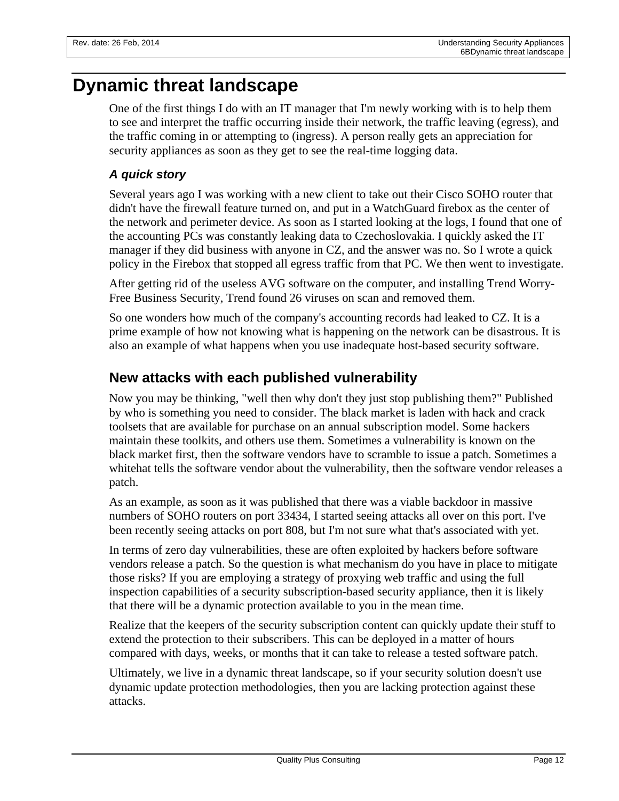# **Dynamic threat landscape**

One of the first things I do with an IT manager that I'm newly working with is to help them to see and interpret the traffic occurring inside their network, the traffic leaving (egress), and the traffic coming in or attempting to (ingress). A person really gets an appreciation for security appliances as soon as they get to see the real-time logging data.

#### *A quick story*

Several years ago I was working with a new client to take out their Cisco SOHO router that didn't have the firewall feature turned on, and put in a WatchGuard firebox as the center of the network and perimeter device. As soon as I started looking at the logs, I found that one of the accounting PCs was constantly leaking data to Czechoslovakia. I quickly asked the IT manager if they did business with anyone in CZ, and the answer was no. So I wrote a quick policy in the Firebox that stopped all egress traffic from that PC. We then went to investigate.

After getting rid of the useless AVG software on the computer, and installing Trend Worry-Free Business Security, Trend found 26 viruses on scan and removed them.

So one wonders how much of the company's accounting records had leaked to CZ. It is a prime example of how not knowing what is happening on the network can be disastrous. It is also an example of what happens when you use inadequate host-based security software.

## **New attacks with each published vulnerability**

Now you may be thinking, "well then why don't they just stop publishing them?" Published by who is something you need to consider. The black market is laden with hack and crack toolsets that are available for purchase on an annual subscription model. Some hackers maintain these toolkits, and others use them. Sometimes a vulnerability is known on the black market first, then the software vendors have to scramble to issue a patch. Sometimes a whitehat tells the software vendor about the vulnerability, then the software vendor releases a patch.

As an example, as soon as it was published that there was a viable backdoor in massive numbers of SOHO routers on port 33434, I started seeing attacks all over on this port. I've been recently seeing attacks on port 808, but I'm not sure what that's associated with yet.

In terms of zero day vulnerabilities, these are often exploited by hackers before software vendors release a patch. So the question is what mechanism do you have in place to mitigate those risks? If you are employing a strategy of proxying web traffic and using the full inspection capabilities of a security subscription-based security appliance, then it is likely that there will be a dynamic protection available to you in the mean time.

Realize that the keepers of the security subscription content can quickly update their stuff to extend the protection to their subscribers. This can be deployed in a matter of hours compared with days, weeks, or months that it can take to release a tested software patch.

Ultimately, we live in a dynamic threat landscape, so if your security solution doesn't use dynamic update protection methodologies, then you are lacking protection against these attacks.